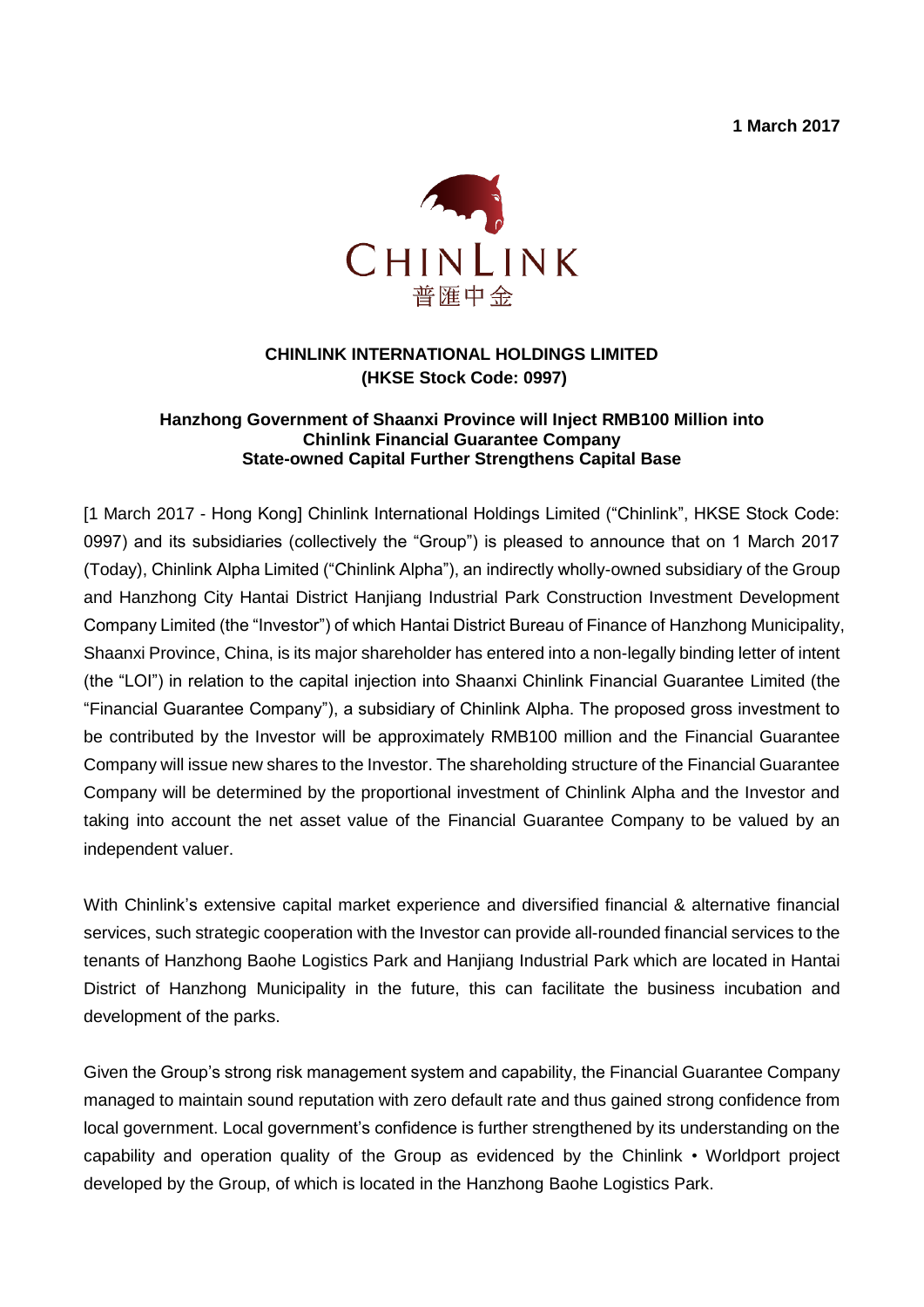**1 March 2017**



## **CHINLINK INTERNATIONAL HOLDINGS LIMITED (HKSE Stock Code: 0997)**

## **Hanzhong Government of Shaanxi Province will Inject RMB100 Million into Chinlink Financial Guarantee Company State-owned Capital Further Strengthens Capital Base**

[1 March 2017 - Hong Kong] Chinlink International Holdings Limited ("Chinlink", HKSE Stock Code: 0997) and its subsidiaries (collectively the "Group") is pleased to announce that on 1 March 2017 (Today), Chinlink Alpha Limited ("Chinlink Alpha"), an indirectly wholly-owned subsidiary of the Group and Hanzhong City Hantai District Hanjiang Industrial Park Construction Investment Development Company Limited (the "Investor") of which Hantai District Bureau of Finance of Hanzhong Municipality, Shaanxi Province, China, is its major shareholder has entered into a non-legally binding letter of intent (the "LOI") in relation to the capital injection into Shaanxi Chinlink Financial Guarantee Limited (the "Financial Guarantee Company"), a subsidiary of Chinlink Alpha. The proposed gross investment to be contributed by the Investor will be approximately RMB100 million and the Financial Guarantee Company will issue new shares to the Investor. The shareholding structure of the Financial Guarantee Company will be determined by the proportional investment of Chinlink Alpha and the Investor and taking into account the net asset value of the Financial Guarantee Company to be valued by an independent valuer.

With Chinlink's extensive capital market experience and diversified financial & alternative financial services, such strategic cooperation with the Investor can provide all-rounded financial services to the tenants of Hanzhong Baohe Logistics Park and Hanjiang Industrial Park which are located in Hantai District of Hanzhong Municipality in the future, this can facilitate the business incubation and development of the parks.

Given the Group's strong risk management system and capability, the Financial Guarantee Company managed to maintain sound reputation with zero default rate and thus gained strong confidence from local government. Local government's confidence is further strengthened by its understanding on the capability and operation quality of the Group as evidenced by the Chinlink • Worldport project developed by the Group, of which is located in the Hanzhong Baohe Logistics Park.